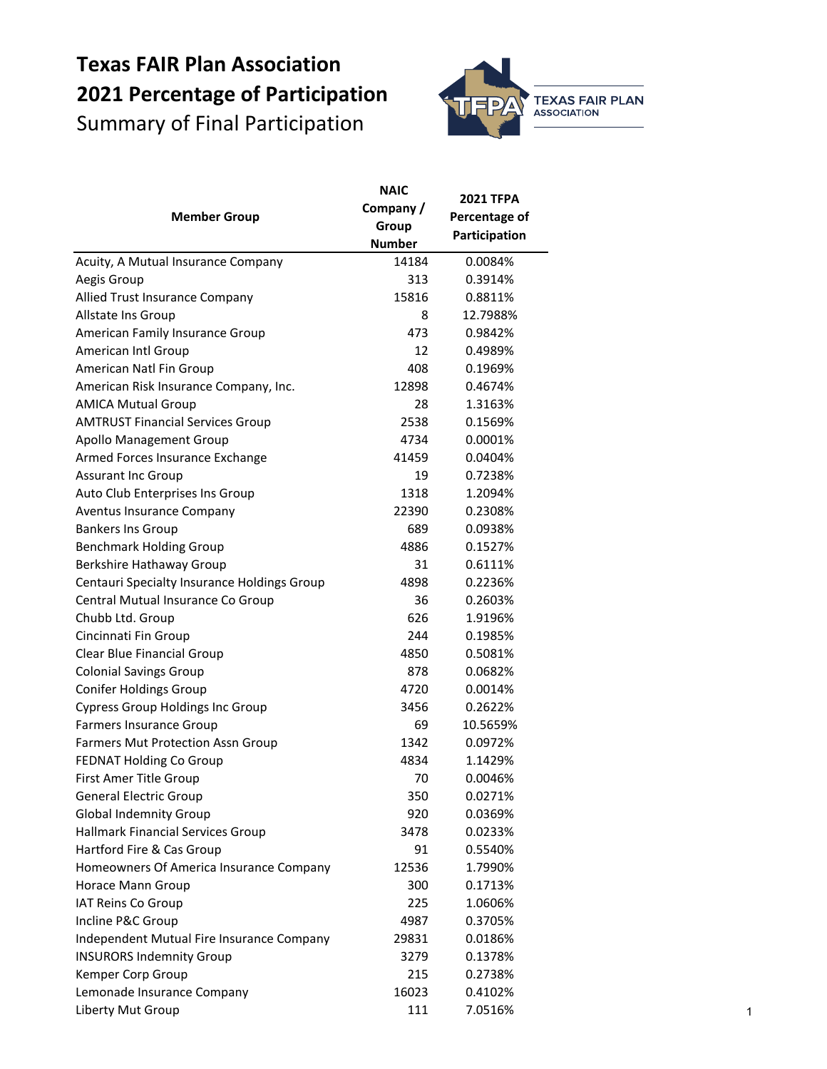## **Texas FAIR Plan Association 2021 Percentage of Participation** Summary of Final Participation



|                                                    | <b>NAIC</b>   | <b>2021 TFPA</b> |
|----------------------------------------------------|---------------|------------------|
| <b>Member Group</b>                                | Company/      |                  |
|                                                    | Group         | Percentage of    |
|                                                    | <b>Number</b> | Participation    |
| Acuity, A Mutual Insurance Company                 | 14184         | 0.0084%          |
| Aegis Group                                        | 313           | 0.3914%          |
| <b>Allied Trust Insurance Company</b>              | 15816         | 0.8811%          |
| Allstate Ins Group                                 | 8             | 12.7988%         |
| American Family Insurance Group                    | 473           | 0.9842%          |
| American Intl Group                                | 12            | 0.4989%          |
| American Natl Fin Group                            | 408           | 0.1969%          |
| American Risk Insurance Company, Inc.              | 12898         | 0.4674%          |
| <b>AMICA Mutual Group</b>                          | 28            | 1.3163%          |
| <b>AMTRUST Financial Services Group</b>            | 2538          | 0.1569%          |
| <b>Apollo Management Group</b>                     | 4734          | 0.0001%          |
| Armed Forces Insurance Exchange                    | 41459         | 0.0404%          |
| <b>Assurant Inc Group</b>                          | 19            | 0.7238%          |
| Auto Club Enterprises Ins Group                    | 1318          | 1.2094%          |
| <b>Aventus Insurance Company</b>                   | 22390         | 0.2308%          |
| <b>Bankers Ins Group</b>                           | 689           | 0.0938%          |
| <b>Benchmark Holding Group</b>                     | 4886          | 0.1527%          |
| <b>Berkshire Hathaway Group</b>                    | 31            | 0.6111%          |
| <b>Centauri Specialty Insurance Holdings Group</b> | 4898          | 0.2236%          |
| Central Mutual Insurance Co Group                  | 36            | 0.2603%          |
| Chubb Ltd. Group                                   | 626           | 1.9196%          |
| Cincinnati Fin Group                               | 244           | 0.1985%          |
| <b>Clear Blue Financial Group</b>                  | 4850          | 0.5081%          |
| <b>Colonial Savings Group</b>                      | 878           | 0.0682%          |
| <b>Conifer Holdings Group</b>                      | 4720          | 0.0014%          |
| <b>Cypress Group Holdings Inc Group</b>            | 3456          | 0.2622%          |
| <b>Farmers Insurance Group</b>                     | 69            | 10.5659%         |
| <b>Farmers Mut Protection Assn Group</b>           | 1342          | 0.0972%          |
| <b>FEDNAT Holding Co Group</b>                     | 4834          | 1.1429%          |
| First Amer Title Group                             | 70            | 0.0046%          |
| <b>General Electric Group</b>                      | 350           | 0.0271%          |
| <b>Global Indemnity Group</b>                      | 920           | 0.0369%          |
| <b>Hallmark Financial Services Group</b>           | 3478          | 0.0233%          |
| Hartford Fire & Cas Group                          | 91            | 0.5540%          |
| Homeowners Of America Insurance Company            | 12536         | 1.7990%          |
| Horace Mann Group                                  | 300           | 0.1713%          |
| IAT Reins Co Group                                 | 225           | 1.0606%          |
| Incline P&C Group                                  | 4987          | 0.3705%          |
| Independent Mutual Fire Insurance Company          | 29831         | 0.0186%          |
| <b>INSURORS Indemnity Group</b>                    | 3279          | 0.1378%          |
| Kemper Corp Group                                  | 215           | 0.2738%          |
| Lemonade Insurance Company                         | 16023         | 0.4102%          |
| Liberty Mut Group                                  | 111           | 7.0516%          |